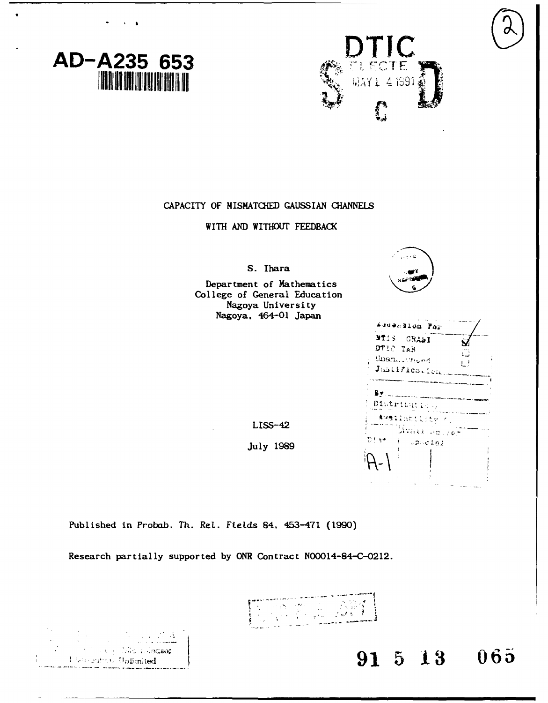



**CAPACITY** OF MISMATCHED **GAUSS IAN CHANNELS**

WITH **AND** WITHOUT FEEDBACK

**S.** Ihara

Department of Mathematics College of General Education Nagoya University Nagoya. 464-01 Japan



|                                     | Auuenslop For                              |          |
|-------------------------------------|--------------------------------------------|----------|
| MIIS GRAAI<br>DTIC TAB<br>Unan mong | Justification                              | ιÀ<br>ĻΙ |
| B.Y.<br>Distribution                |                                            |          |
| Dfst                                | Awailsbility (<br>lavatt an ye-<br>しついひえねり |          |
|                                     |                                            |          |

 $LISS-42$ 

**July 1989** r

Published in Probab. Th. Ret. Ftelds 84, 453-471 **(1990)**

υÂ

*Usubation Unlimited* 

Research partially supported **by** ONR Contract N00014-84-C-0212.



 $\begin{matrix} \text{[Nie L] class} \\ \text{[Nie L] A J.} \end{matrix}$  (allegrads)  $\begin{matrix} \text{[Nie L] class} \\ \text{[Nie L] A J.} \end{matrix}$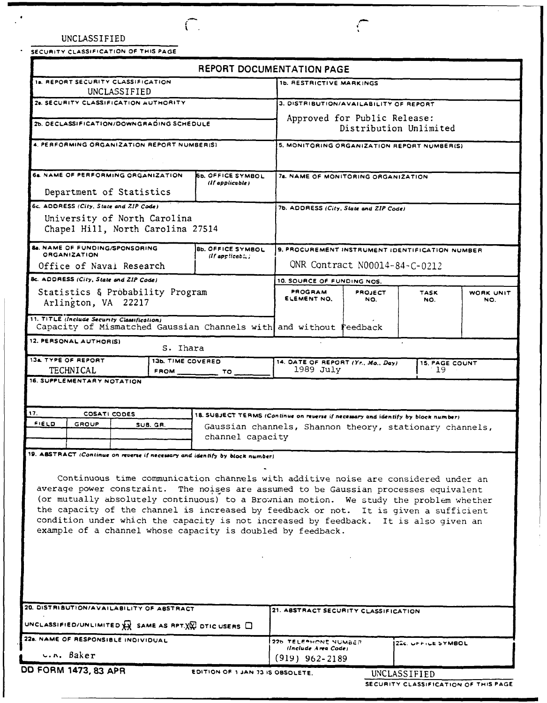|  | UNCLASSIFIED |  |
|--|--------------|--|
|--|--------------|--|

 $\sqrt{2}$ 

 $\sim$   $\sim$ 

|                                             | SECURITY CLASSIFICATION OF THIS PAGE                              |  |                   |                                                                                                                                                                                                                                                                                                                                                                                                                                                                                                                      |                                                         |                |                       |                  |
|---------------------------------------------|-------------------------------------------------------------------|--|-------------------|----------------------------------------------------------------------------------------------------------------------------------------------------------------------------------------------------------------------------------------------------------------------------------------------------------------------------------------------------------------------------------------------------------------------------------------------------------------------------------------------------------------------|---------------------------------------------------------|----------------|-----------------------|------------------|
|                                             |                                                                   |  |                   | REPORT DOCUMENTATION PAGE                                                                                                                                                                                                                                                                                                                                                                                                                                                                                            |                                                         |                |                       |                  |
|                                             | 1a. REPORT SECURITY CLASSIFICATION<br>UNCLASSIFIED                |  |                   |                                                                                                                                                                                                                                                                                                                                                                                                                                                                                                                      | <b>1b. RESTRICTIVE MARKINGS</b>                         |                |                       |                  |
|                                             | 28. SECURITY CLASSIFICATION AUTHORITY                             |  |                   |                                                                                                                                                                                                                                                                                                                                                                                                                                                                                                                      | 3. DISTRIBUTION/AVAILABILITY OF REPORT                  |                |                       |                  |
| 2b. DECLASSIFICATION/DOWNGRADING SCHEDULE   |                                                                   |  |                   | Approved for Public Release:<br>Distribution Unlimited                                                                                                                                                                                                                                                                                                                                                                                                                                                               |                                                         |                |                       |                  |
| 4. PERFORMING ORGANIZATION REPORT NUMBER(S) |                                                                   |  |                   | 5. MONITORING ORGANIZATION REPORT NUMBER(S)                                                                                                                                                                                                                                                                                                                                                                                                                                                                          |                                                         |                |                       |                  |
|                                             | 6a. NAME OF PERFORMING ORGANIZATION                               |  |                   | <b>SE. OFFICE SYMBOL</b><br>(If applicable)                                                                                                                                                                                                                                                                                                                                                                                                                                                                          | 78. NAME OF MONITORING ORGANIZATION                     |                |                       |                  |
|                                             | Department of Statistics                                          |  |                   |                                                                                                                                                                                                                                                                                                                                                                                                                                                                                                                      |                                                         |                |                       |                  |
|                                             | 6c. ADDRESS (City, State and ZIP Code)                            |  |                   |                                                                                                                                                                                                                                                                                                                                                                                                                                                                                                                      | 7b. ADDRESS (City, State and ZIP Code)                  |                |                       |                  |
|                                             | University of North Carolina<br>Chapel Hill, North Carolina 27514 |  |                   |                                                                                                                                                                                                                                                                                                                                                                                                                                                                                                                      |                                                         |                |                       |                  |
|                                             | <b>Be. NAME OF FUNDING/SPONSORING</b><br><b>ORGANIZATION</b>      |  |                   | 8b. OFFICE SYMBOL<br>$(If$ applicable;                                                                                                                                                                                                                                                                                                                                                                                                                                                                               | 9. PROCUREMENT INSTRUMENT IDENTIFICATION NUMBER         |                |                       |                  |
|                                             | Office of Naval Research                                          |  |                   |                                                                                                                                                                                                                                                                                                                                                                                                                                                                                                                      | ONR Contract N00014-84-C-0212                           |                |                       |                  |
|                                             | 8c. ADDRESS (City, State and ZIP Code)                            |  |                   |                                                                                                                                                                                                                                                                                                                                                                                                                                                                                                                      | 10. SOURCE OF FUNDING NOS.                              |                |                       |                  |
|                                             | Statistics & Probability Program<br>Arlington, VA 22217           |  |                   |                                                                                                                                                                                                                                                                                                                                                                                                                                                                                                                      | PROGRAM<br>ELEMENT NO.                                  | PROJECT<br>NO. | <b>TASK</b><br>NO.    | WORK UNIT<br>NO. |
|                                             | 11. TITLE (Include Security Classification)                       |  |                   | Capacity of Mismatched Gaussian Channels with and without reedback                                                                                                                                                                                                                                                                                                                                                                                                                                                   |                                                         |                |                       |                  |
|                                             | 12. PERSONAL AUTHORIS)                                            |  | S. Ihara          |                                                                                                                                                                                                                                                                                                                                                                                                                                                                                                                      |                                                         |                |                       |                  |
|                                             | 134 TYPE OF REPORT                                                |  | 13b. TIME COVERED |                                                                                                                                                                                                                                                                                                                                                                                                                                                                                                                      | 14. DATE OF REPORT (Yr., Mo., Day)                      |                | <b>15. PAGE COUNT</b> |                  |
|                                             | TECHNICAL<br>16. SUPPLEMENTARY NOTATION                           |  | FROM __           | $\tau \circ$                                                                                                                                                                                                                                                                                                                                                                                                                                                                                                         | 1989 July                                               |                | - 19                  |                  |
|                                             |                                                                   |  |                   |                                                                                                                                                                                                                                                                                                                                                                                                                                                                                                                      |                                                         |                |                       |                  |
|                                             |                                                                   |  |                   |                                                                                                                                                                                                                                                                                                                                                                                                                                                                                                                      |                                                         |                |                       |                  |
| 17.<br><b>FIELD</b>                         | COSATI CODES<br>GROUP                                             |  | SUB. GR.          | 18. SUBJECT TERMS (Continue on reverse if necessary and identify by block number)                                                                                                                                                                                                                                                                                                                                                                                                                                    |                                                         |                |                       |                  |
|                                             |                                                                   |  |                   | channel capacity                                                                                                                                                                                                                                                                                                                                                                                                                                                                                                     | Gaussian channels, Shannon theory, stationary channels, |                |                       |                  |
|                                             |                                                                   |  |                   |                                                                                                                                                                                                                                                                                                                                                                                                                                                                                                                      |                                                         |                |                       |                  |
|                                             |                                                                   |  |                   | 19. ABSTRACT (Continue on reverse if necessary and identify by block number)                                                                                                                                                                                                                                                                                                                                                                                                                                         |                                                         |                |                       |                  |
|                                             |                                                                   |  |                   | Continuous time communication channels with additive noise are considered under an<br>average power constraint. The noises are assumed to be Gaussian processes equivalent<br>(or mutually absolutely continuous) to a Brownian motion. We study the problem whether<br>the capacity of the channel is increased by feedback or not. It is given a sufficient<br>condition under which the capacity is not increased by feedback. It is also given an<br>example of a channel whose capacity is doubled by feedback. |                                                         |                |                       |                  |
|                                             | 20. DISTRIBUTION/AVAILABILITY OF ABSTRACT                         |  |                   | UNCLASSIFIED/UNLIMITED $\mathbb{Q}$ SAME AS RPT. $\mathbb{X}\overline{\mathbb{Q}}$ otic users $\Box$                                                                                                                                                                                                                                                                                                                                                                                                                 | 21. ABSTRACT SECURITY CLASSIFICATION                    |                |                       |                  |
| 22a. NAME OF RESPONSIBLE INDIVIDUAL         |                                                                   |  |                   | 226 TELEPHONE NUMBER<br>22c. UPPICE SYMBOL                                                                                                                                                                                                                                                                                                                                                                                                                                                                           |                                                         |                |                       |                  |
| u.n. Baker                                  |                                                                   |  |                   | (Include Area Code)                                                                                                                                                                                                                                                                                                                                                                                                                                                                                                  |                                                         |                |                       |                  |
|                                             | DD FORM 1473, 83 APR                                              |  |                   |                                                                                                                                                                                                                                                                                                                                                                                                                                                                                                                      | $(919)$ 962-2189<br>EDITION OF 1 JAN 73 IS OBSOLETE.    |                | UNCLASSIFIED          |                  |

 $\ddot{\phantom{a}}$ 

 $\subset$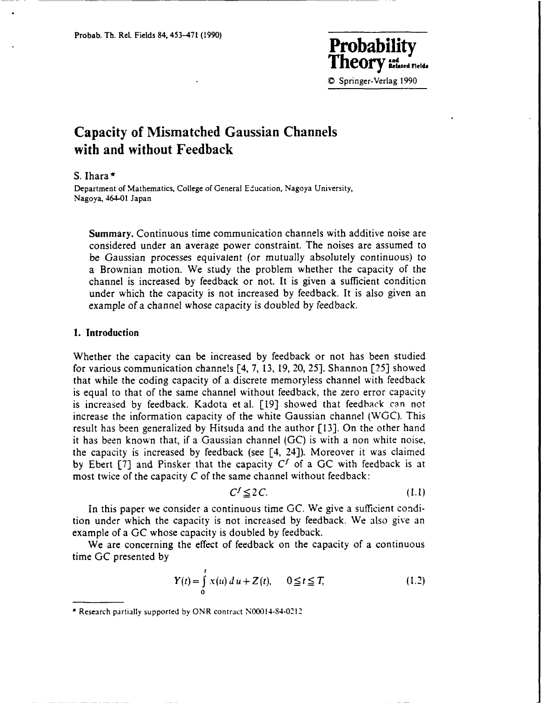*Tropapility***<br>Theory education C** Springer-Verlag 1990

# **Capacity of Mismatched Gaussian Channels with and without Feedback**

S. Ihara **\***

Department of Mathematics, College of General Education, Nagoya University, Nagoya, 464-01 Japan

Summary. Continuous time communication channels with additive noise are considered under an average power constraint. The noises are assumed to be Gaussian processes equivalent (or mutually absolutely continuous) to a Brownian motion. We study the problem whether the capacity of the channel is increased by feedback or not. It is given a sufficient condition under which the capacity is not increased by feedback. It is also given an example of a channel whose capacity is doubled by feedback.

## **1. Introduction**

Whether the capacity can be increased by feedback or not has been studied for various communication channels [4, 7, 13, **19,** 20, 25]. Shannon **[25]** showed that while the coding capacity of a discrete memoryless channel with feedback is equal to that of the same channel without feedback, the zero error capacity is increased by feedback. Kadota et al. [19] showed that feedback can not increase the information capacity of the white Gaussian channel (WGC). This result has been generalized by Hitsuda and the author **[13].** On the other hand it has been known that, if a Gaussian channel (GC) is with a non white noise, the capacity is increased by feedback (see [4, 24]). Moreover it was claimed by Ebert [7] and Pinsker that the capacity  $C<sup>f</sup>$  of a GC with feedback is at most twice of the capacity *C* of the same channel without feedback:

$$
C^f \le 2C. \tag{1.1}
$$

In this paper we consider a continuous time GC. We give a sufficient condition under which the capacity is not increased by feedback. We also give an example of a GC whose capacity is doubled by feedback.

We are concerning the effect of feedback on the capacity of a continuous time GC presented by

$$
Y(t) = \int_{0}^{t} x(u) \, du + Z(t), \qquad 0 \le t \le T,
$$
 (1.2)

<sup>\*</sup>Research partially supported **by** ONR contract N00014-84-0212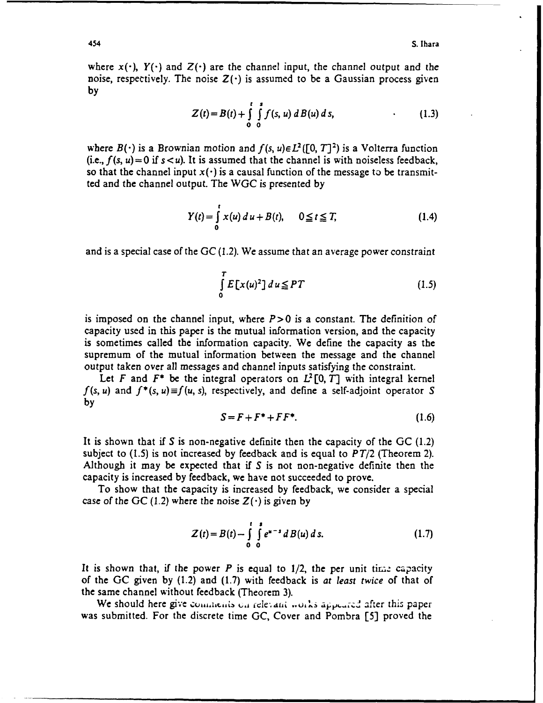where  $x(\cdot)$ ,  $Y(\cdot)$  and  $Z(\cdot)$  are the channel input, the channel output and the noise, respectively. The noise  $Z(\cdot)$  is assumed to be a Gaussian process given **by**

$$
Z(t) = B(t) + \int_{0}^{t} \int_{0}^{s} f(s, u) dB(u) ds,
$$
 (1.3)

where  $B(\cdot)$  is a Brownian motion and  $f(s, u) \in L^2([0, T]^2)$  is a Volterra function (i.e.,  $f(s, u) = 0$  if  $s < u$ ). It is assumed that the channel is with noiseless feedback, so that the channel input  $x(\cdot)$  is a causal function of the message to be transmitted and the channel output. The WGC is presented **by**

$$
Y(t) = \int_{0}^{t} x(u) \, du + B(t), \qquad 0 \le t \le T,
$$
 (1.4)

and is a special case of the GC (1.2). We assume that an average power constraint

$$
\int_{0}^{T} E[x(u)^{2}] du \leq PT
$$
\n(1.5)

is imposed on the channel input, where *P>0* is a constant. The definition of capacity used in this paper is the mutual information version, and the capacity is sometimes called the information capacity. We define the capacity as the supremum of the mutual information between the message and the channel output taken over all messages and channel inputs satisfying the constraint.

Let *F* and  $F^*$  be the integral operators on  $L^2[0, T]$  with integral kernel  $f(s, u)$  and  $f^*(s, u) \equiv f(u, s)$ , respectively, and define a self-adjoint operator S **by**

$$
S = F + F^* + FF^*.
$$
 (1.6)

It is shown that if *S* is non-negative definite then the capacity of the GC (1.2) subject to **(1.5)** is not increased **by** feedback and is equal to *PT/2* (Theorem 2). Although it may be expected that if **S** is not non-negative definite then the capacity is increased **by** feedback, we have not succeeded to prove.

To show that the capacity is increased **by** feedback, we consider a special case of the GC (1.2) where the noise  $Z(\cdot)$  is given by

$$
Z(t) = B(t) - \int_{0}^{t} \int_{0}^{s} e^{u-s} d B(u) ds.
$$
 (1.7)

It is shown that, if the power  $P$  is equal to  $1/2$ , the per unit time capacity of the GC given **by** (1.2) and (1.7) with feedback is *at least twice* of that of the same channel without feedback (Theorem 3).

We should here give comments on relevant works appeared after this paper was submitted. For the discrete time GC, Cover and Pombra [5] proved the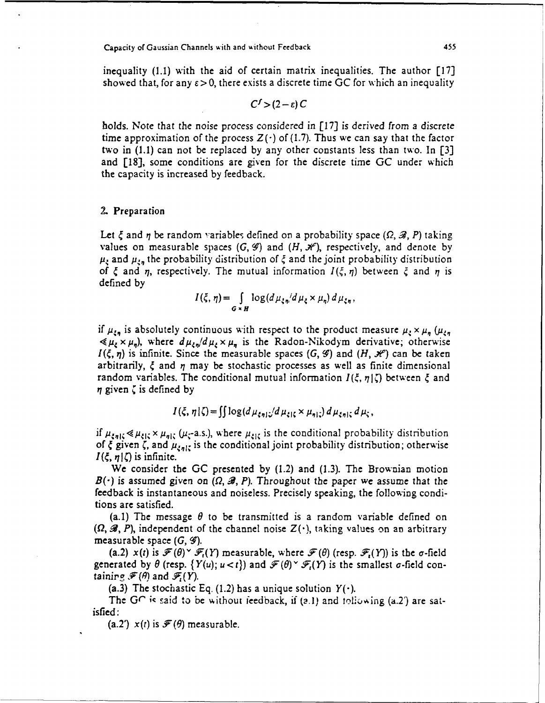inequality **(1.1)** with the aid of certain matrix inequalities. The author **[17]** showed that, for any  $\epsilon > 0$ , there exists a discrete time GC for which an inequality

 $C^f > (2 - \varepsilon) C$ 

holds. Note that the noise process considered in **[17]** is derived from a discrete time approximation of the process  $Z(\cdot)$  of (1.7). Thus we can say that the factor two in **(1.1)** can not **be** replaced **by** any other constants less than two. In **[3]** and [18], some conditions are given for the discrete time **GC** under which the capacity is increased by feedback.

## **2.** Preparation

Let  $\xi$  and  $\eta$  be random variables defined on a probability space ( $\Omega$ ,  $\mathscr{B}$ , P) taking values on measurable spaces  $(G, \mathcal{G})$  and  $(H, \mathcal{H})$ , respectively, and denote by  $\mu_{\xi}$  and  $\mu_{\xi_n}$  the probability distribution of  $\xi$  and the joint probability distribution of  $\xi$  and  $\eta$ , respectively. The mutual information  $I(\xi, \eta)$  between  $\xi$  and  $\eta$  is defined by

$$
I(\xi,\eta)=\int\limits_{G\times H}\log(d\,\mu_{\xi\eta}/d\,\mu_{\xi}\times\mu_{\eta})\,d\,\mu_{\xi\eta}\,,
$$

if  $\mu_{\xi_n}$  is absolutely continuous with respect to the product measure  $\mu_{\xi} \times \mu_n$  ( $\mu_{\xi_n}$  $\ll \mu_{\xi} \times \mu_{\eta}$ , where  $d\mu_{\xi\eta}/d\mu_{\xi} \times \mu_{\eta}$  is the Radon-Nikodym derivative; otherwise  $I(\xi, \eta)$  is infinite. Since the measurable spaces  $(G, \mathcal{G})$  and  $(H, \mathcal{H})$  can be taken arbitrarily,  $\xi$  and  $\eta$  may be stochastic processes as well as finite dimensional random variables. The conditional mutual information  $I(\xi, \eta|\zeta)$  between  $\xi$  and  $\eta$  given  $\zeta$  is defined by

 $I(\xi, \eta | \zeta) = \iint \log(d\mu_{ent}/d\mu_{att} \times \mu_{nl}) d\mu_{init} d\mu_t$ ,

if  $\mu_{\xi\eta\xi} \ll \mu_{\xi\xi} \times \mu_{\eta\xi}$  ( $\mu_{\xi}$ -a.s.), where  $\mu_{\xi\xi}$  is the conditional probability distribution of  $\xi$  given  $\zeta$ , and  $\mu_{z_n|\zeta}$  is the conditional joint probability distribution; otherwise  $I(\xi, \eta | \zeta)$  is infinite.

We consider the **GC** presented by (1.2) and (1.3). The Brownian motion  $B(\cdot)$  is assumed given on  $(\Omega, \mathcal{B}, P)$ . Throughout the paper we assume that the feedback is instantaneous and noiseless. Precisely speaking, the following conditions are satisfied.

(a.1) The message  $\theta$  to be transmitted is a random variable defined on  $(\Omega, \mathscr{B}, P)$ , independent of the channel noise  $Z(\cdot)$ , taking values on an arbitrary measurable space  $(G, \mathcal{G})$ .

(a.2)  $x(t)$  is  $\mathcal{F}(\theta) \times \mathcal{F}(Y)$  measurable, where  $\mathcal{F}(\theta)$  (resp.  $\mathcal{F}_{t}(Y)$ ) is the  $\sigma$ -field generated by  $\theta$  (resp.  $\{Y(u); u < t\}$ ) and  $\mathcal{F}(\theta) \circ \mathcal{F}_t(Y)$  is the smallest  $\sigma$ -field containing  $\mathcal{F}(\theta)$  and  $\mathcal{F}(Y)$ .

(a.3) The stochastic Eq. (1.2) has a unique solution  $Y(\cdot)$ .

The  $G\cap$  is said to be without feedback, if (2.1) and following (a.2) are satisfied:

(a.2')  $x(t)$  is  $\mathcal{F}(\theta)$  measurable.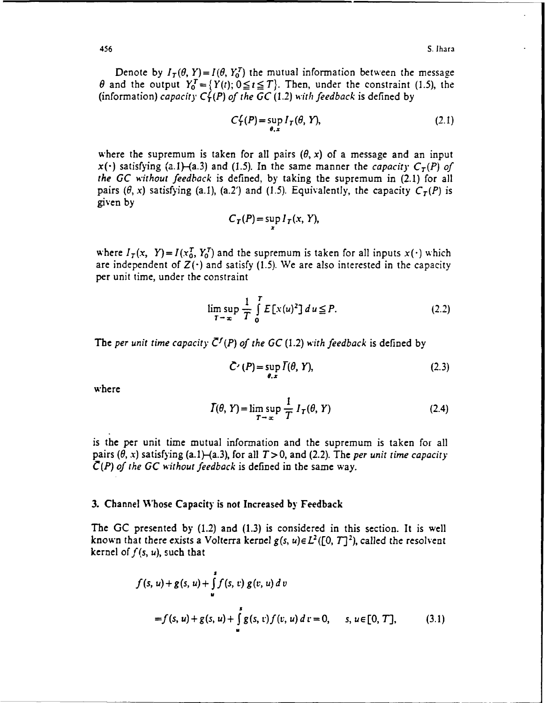Denote by  $I_T(\theta, Y) = I(\theta, Y_0^T)$  the mutual information between the message  $\theta$  and the output  $Y_0^T = \{Y(t); 0 \le t \le T\}$ . Then, under the constraint (1.5), the (information) *capacity C{(P) of the GC* (1.2) *with feedback* is defined **by**

$$
C_T^f(P) = \sup_{\theta, x} I_T(\theta, Y), \tag{2.1}
$$

where the supremum is taken for all pairs  $(\theta, x)$  of a message and an input  $x(\cdot)$  satisfying (a.1)-(a.3) and (1.5). In the same manner the *capacity*  $C_T(P)$  of *the GC without feedback* is defined, by taking the supremum in (2.1) for all pairs  $(\theta, x)$  satisfying (a.1), (a.2') and (1.5). Equivalently, the capacity  $C_T(P)$  is given by

$$
C_T(P) = \sup_x I_T(x, Y),
$$

where  $I_T(x, Y) = I(x_0^T, Y_0^T)$  and the supremum is taken for all inputs  $x(\cdot)$  which are independent of  $Z(\cdot)$  and satisfy (1.5). We are also interested in the capacity per unit time, under the constraint

$$
\limsup_{T \to \infty} \frac{1}{T} \int_{0}^{T} E[x(u)^{2}] du \le P.
$$
 (2.2)

The *per unit time capacity*  $\bar{C}^f(P)$  *of the GC (1.2) with feedback is defined by* 

$$
\tilde{C}'(P) = \sup_{\theta, x} \overline{I}(\theta, Y), \tag{2.3}
$$

where

$$
\bar{I}(\theta, Y) = \limsup_{T \to \infty} \frac{1}{T} I_T(\theta, Y)
$$
\n(2.4)

is the per unit time mutual information and the supremum is taken for all pairs  $(\theta, x)$  satisfying (a.1)-(a.3), for all  $T>0$ , and (2.2). The *per unit time capacity C(P) of the GC without feedback* is defined in the same way.

## **3.** Channel Whose Capacity is not Increased **by** Feedback

The **GC** presented **by** (1.2) and **(1.3)** is considered in this section. It is well known that there exists a Volterra kernel  $g(s, u) \in L^2([0, T]^2)$ , called the resolvent kernel of  $f(s, u)$ , such that

$$
f(s, u) + g(s, u) + \int_{u}^{s} f(s, v) g(v, u) dv
$$
  
=  $f(s, u) + g(s, u) + \int_{u}^{s} g(s, v) f(v, u) dv = 0, \quad s, u \in [0, T],$  (3.1)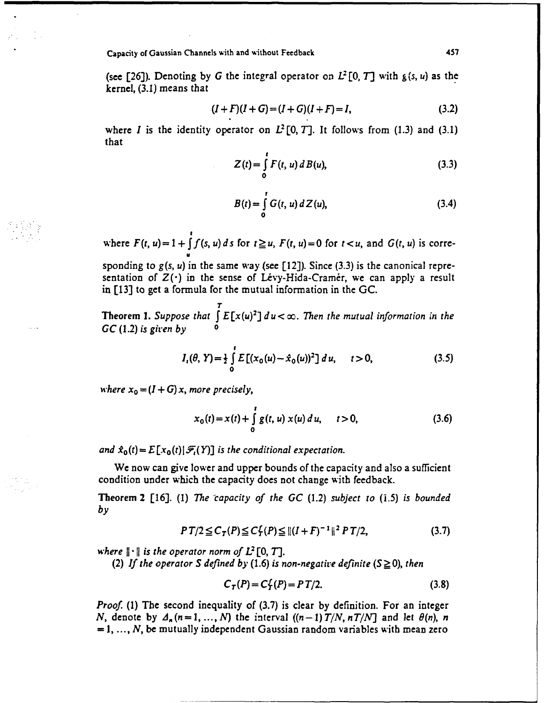(see [26]). Denoting by G the integral operator on  $L^2[0, T]$  with  $g(s, u)$  as the kernel, (3.1) means that

$$
(I+F)(I+G)=(I+G)(I+F)=I,
$$
\n(3.2)

where *I* is the identity operator on  $L^2[0, T]$ . It follows from (1.3) and (3.1) that

$$
Z(t) = \int_{0}^{t} F(t, u) \, dB(u), \tag{3.3}
$$

$$
B(t) = \int_{0}^{t} G(t, u) dZ(u),
$$
 (3.4)

where  $F(t, u) = 1 + \int_0^t f(s, u) ds$  for  $t \ge u$ ,  $F(t, u) = 0$  for  $t < u$ , and  $G(t, u)$  is corre*u*

sponding to  $g(s, u)$  in the same way (see [12]). Since (3.3) is the canonical representation of  $Z(\cdot)$  in the sense of Lévy-Hida-Cramér, we can apply a result in [13] to get a formula for the mutual information in the GC.

*T* **Theorem 1.** Suppose that  $\int E[x(u)^2] du < \infty$ . Then the mutual information in the *GC* (1.2) *is giren by* **0**

$$
I_{t}(\theta, Y) = \frac{1}{2} \int_{0}^{t} E\left[ (x_0(u) - \hat{x}_0(u))^2 \right] du, \quad t > 0,
$$
 (3.5)

*where*  $x_0 = (I + G)x$ , more precisely,

$$
x_0(t) = x(t) + \int_0^t g(t, u) x(u) du, \quad t > 0,
$$
\n(3.6)

*and*  $\hat{x}_0(t) = E[x_0(t)|\mathcal{F}_1(Y)]$  *is the conditional expectation.* 

We now can give lower and upper bounds of the capacity and also a sufficient condition under which the capacity does not change with feedback.

Theorem 2 [16]. (1) *The "capacity of the GC* (1.2) *subject to (.5) is bounded by*

$$
PT/2 \leq C_T(P) \leq C_T^{L}(P) \leq ||(I+F)^{-1}||^2 PT/2,
$$
\n(3.7)

*where*  $\|\cdot\|$  *is the operator norm of L*<sup>2</sup> [0, *T*].

*(2) If the operator S defined by (1.6) is non-negative definite*  $(S \ge 0)$ *, then* 

$$
C_T(P) = C_T^f(P) = PT/2.
$$
 (3.8)

*Proof.* (1) The second inequality of (3.7) is clear by definition. For an integer *N*, denote by  $A_n$   $(n = 1, ..., N)$  the interval  $((n-1) T/N, nT/N]$  and let  $\theta(n)$ , *n*  $= 1, ..., N$ , be mutually independent Gaussian random variables with mean zero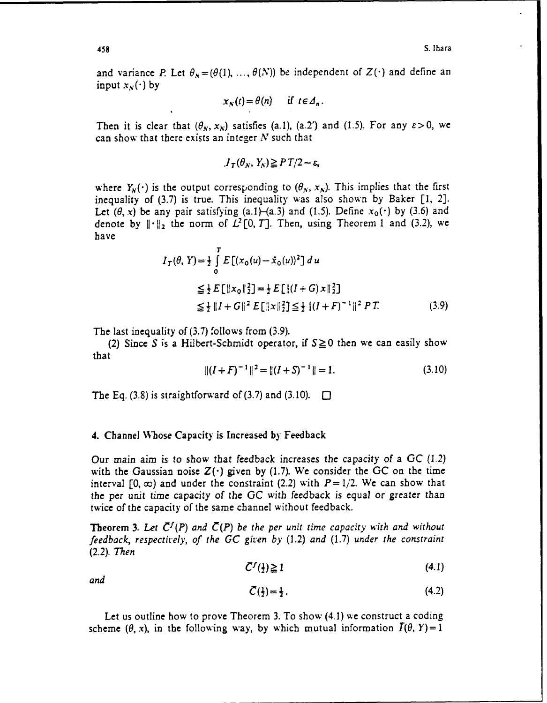and variance *P*. Let  $\theta_N = (\theta(1), ..., \theta(N))$  be independent of  $Z(\cdot)$  and define an input  $x_N(\cdot)$  by

$$
x_N(t) = \theta(n) \quad \text{if } t \in \Delta_n.
$$

Then it is clear that  $(\theta_N, x_N)$  satisfies (a.1), (a.2') and (1.5). For any  $\varepsilon > 0$ , we can show that there exists an integer *N* such that

$$
I_T(\theta_N, Y_N) \ge P T/2 - \varepsilon,
$$

where  $Y_N(\cdot)$  is the output corresponding to  $(\theta_N, x_N)$ . This implies that the first inequality of (3.7) is true. This inequality was also shown by Baker [1, 2]. Let  $(\theta, x)$  be any pair satisfying  $(a.1)$ – $(a.3)$  and  $(1.5)$ . Define  $x_0(\cdot)$  by  $(3.6)$  and denote by  $\|\cdot\|_2$  the norm of  $L^2[0, T]$ . Then, using Theorem 1 and (3.2), we have

$$
I_T(\theta, Y) = \frac{1}{2} \int_0^T E[(x_0(u) - \hat{x}_0(u))^2] du
$$
  
\n
$$
\leq \frac{1}{2} E[\|x_0\|_2^2] = \frac{1}{2} E[\|(I + G) \times \|^2] \leq \frac{1}{2} \|I + G\|^2 E[\|x\|_2^2] \leq \frac{1}{2} \|(I + F)^{-1}\|^2 P T. \tag{3.9}
$$

The last inequality of (3.7) follows from (3.9).

(2) Since S is a Hilbert-Schmidt operator, if  $S \ge 0$  then we can easily show that

$$
||(I + F)^{-1}||^2 = ||(I + S)^{-1}|| = 1.
$$
\n(3.10)

The Eq. (3.8) is straightforward of (3.7) and (3.10).  $\Box$ 

#### 4. Channel Whose Capacity is Increased **by** Feedback

Our main aim is to show that feedback increases the capacity of a **GC** *(1.2)* with the Gaussian noise Z(') given **by (1.7).** We consider the **GC** on the time interval  $[0, \infty)$  and under the constraint (2.2) with  $P = 1/2$ . We can show that the per unit time capacity of the GC with feedback is equal or greater than twice of the capacity of the same channel without feedback.

**Theorem 3.** Let  $\bar{C}^f(P)$  and  $\bar{C}(P)$  be the per unit time capacity with and without *feedback, respectively, of the GC given by* (1.2) *and* (1.7) *under the constraint* (2.2). *Then*

$$
\bar{C}^f(\frac{1}{2}) \geq 1 \tag{4.1}
$$

*and*

$$
\bar{C}(\frac{1}{2}) = \frac{1}{2} \tag{4.2}
$$

Let us outline how to prove Theorem 3. To show (4.1) we construct a coding scheme  $(\theta, x)$ , in the following way, by which mutual information  $\Gamma(\theta, Y)=1$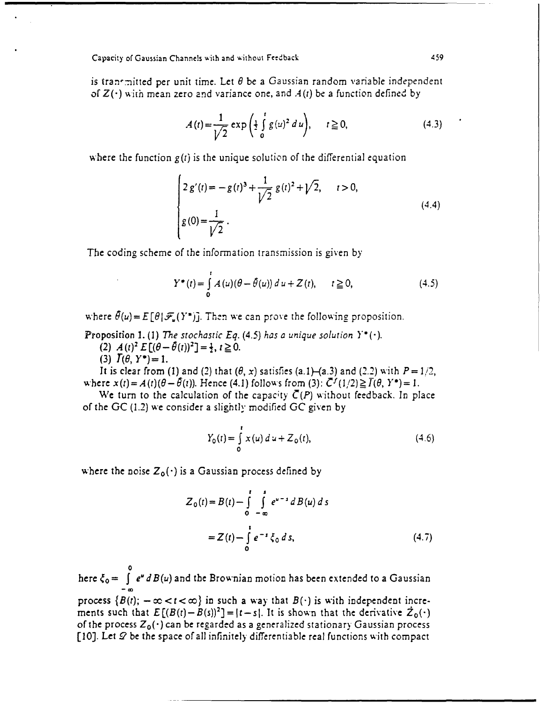is tran-mitted per unit time. Let  $\theta$  be a Gaussian random variable independent *of Z(-)* wiih mean zero and variance one, and *A(t)* be a function defined **by**

$$
A(t) = \frac{1}{\sqrt{2}} \exp\left(\frac{1}{2} \int_{0}^{t} g(u)^{2} du\right), \quad t \ge 0,
$$
 (4.3)

where the function  $g(t)$  is the unique solution of the differential equation

$$
\begin{cases} 2 g'(t) = -g(t)^3 + \frac{1}{\sqrt{2}} g(t)^2 + \sqrt{2}, & t > 0, \\ g(0) = \frac{1}{\sqrt{2}} . \end{cases}
$$
(4.4)

The coding scheme of the information transmission is given **by**

$$
Y^*(t) = \int_{0}^{t} A(u) (\theta - \hat{\theta}(u)) du + Z(t), \qquad t \ge 0,
$$
 (4.5)

where  $\theta(u) = E[\theta|\mathcal{F}_u(Y^*)]$ . Then we can prove the following proposition.

Proposition 1. (1) The stochastic Eq.  $(4.5)$  has a unique solution  $Y^*(\cdot)$ .

(2)  $A(t)^2 E[(\theta - \theta(t))^2] = \frac{1}{2}, t \ge 0.$ 

(3)  $I(\theta, Y^*) = 1$ .

It is clear from (1) and (2) that  $(\theta, x)$  satisfies (a.1)-(a.3) and (2.2) with  $P=1/2$ , where  $x(t) = A(t)(\theta - \theta(t))$ . Hence (4.1) follows from (3):  $\overline{C}^{f}(1/2) \ge \overline{I}(\theta, Y^*) = 1$ .

We turn to the calculation of the capacity  $\overline{C}(P)$  without feedback. In place of the GC (1.2) we consider a slightly modified GC given by

$$
Y_0(t) = \int_0^t x(u) \, du + Z_0(t), \tag{4.6}
$$

where the noise  $Z_0(\cdot)$  is a Gaussian process defined by

$$
Z_0(t) = B(t) - \int_0^t \int_{-\infty}^s e^{u-s} dB(u) ds
$$
  
=  $Z(t) - \int_0^t e^{-s} \zeta_0 ds$ , (4.7)

**0** here  $\zeta_0=$  *J*  $e^a$  *B(u)* and the Brownian motion has been extended to a Gaussian

process  $\{B(t); -\infty < t < \infty\}$  in such a way that  $B(\cdot)$  is with independent increments such that  $E[(B(t)-B(s))^2] = |t-s|$ . It is shown that the derivative  $\dot{Z}_0(\cdot)$ of the process *Z0 (-)* can be regarded as a generalized stationary Gaussian process **[10].** Let **.9** be the space of all infinitely- differentiable real functions with compact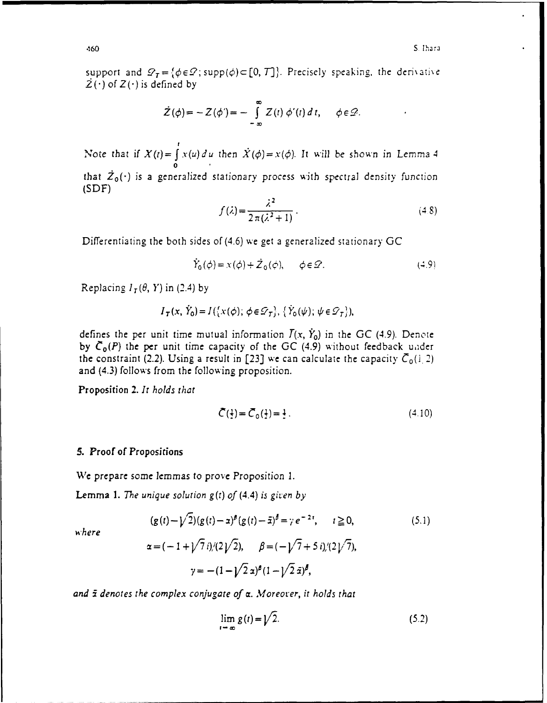support and  $\mathcal{D}_T = \{\phi \in \mathcal{D} \text{; supp}(\phi) \subset [0, T]\}.$  Precisely speaking, the derivative  $2(\cdot)$  of  $Z(\cdot)$  is defined by

$$
\dot{Z}(\phi) = -Z(\phi') = -\int_{-\infty}^{\infty} Z(t) \phi'(t) dt, \quad \phi \in \mathcal{D}.
$$

Note that if  $X(t) = \int x(u) du$  then  $\dot{X}(\phi) = x(\phi)$ . It will be shown in Lemma 4 **0** that  $\tilde{Z}_0(\cdot)$  is a generalized stationary process with spectral density function **(SDF)** *<sup>2</sup>*

$$
f(\lambda) = \frac{\lambda^2}{2\pi(\lambda^2 + 1)}.
$$
\n
$$
(4.8)
$$

Differentiating the both sides of(4.6) we get **a** generalized stationary **GC**

$$
\dot{Y}_0(\phi) = x(\phi) + \dot{Z}_0(\phi), \qquad \phi \in \mathcal{D}.\tag{4.9}
$$

Replacing  $I_T(\theta, Y)$  in (2.4) by

$$
I_{\mathcal{T}}(x, \hat{Y}_0) = I(\{x(\phi), \phi \in \mathcal{D}_T\}, \{\hat{Y}_0(\psi), \psi \in \mathcal{D}_T\}),
$$

defines the per unit time mutual information  $\overline{I}(x, \overline{Y}_0)$  in the GC (4.9). Denote by  $\bar{C}_0(P)$  the per unit time capacity of the GC (4.9) without feedback under the constraint (2.2). Using a result in [23] we can calculate the capacity  $\overline{C}_0(1/2)$ and (4.3) follows from the following proposition.

Proposition 2. *It holds that*

$$
\bar{C}(\frac{1}{2}) = \bar{C}_0(\frac{1}{2}) = \frac{1}{2} \,. \tag{4.10}
$$

# **5.** Proof of Propositions

We prepare some lemmas to prove Proposition 1.

Lemma **1.** *The unique solution* g(t) *of (4.4) is given by*

$$
(g(t) - \sqrt{2})(g(t) - \alpha)^{\beta}(g(t) - \bar{\alpha})^{\bar{\beta}} = \gamma e^{-2t}, \qquad t \ge 0,
$$
\n(5.1)

where

$$
\alpha = (-1 + \sqrt{7} i)/(2\sqrt{2}), \qquad \beta = (-\sqrt{7} + 5 i)/(2\sqrt{7}),
$$

$$
\gamma = -(1 - \sqrt{2} \alpha)^{\beta} (1 - \sqrt{2} \bar{\alpha})^{\beta},
$$

and  $\bar{x}$  *denotes the complex conjugate of a. Moreover, it holds that* 

$$
\lim_{t \to \infty} g(t) = \sqrt{2}.
$$
\n(5.2)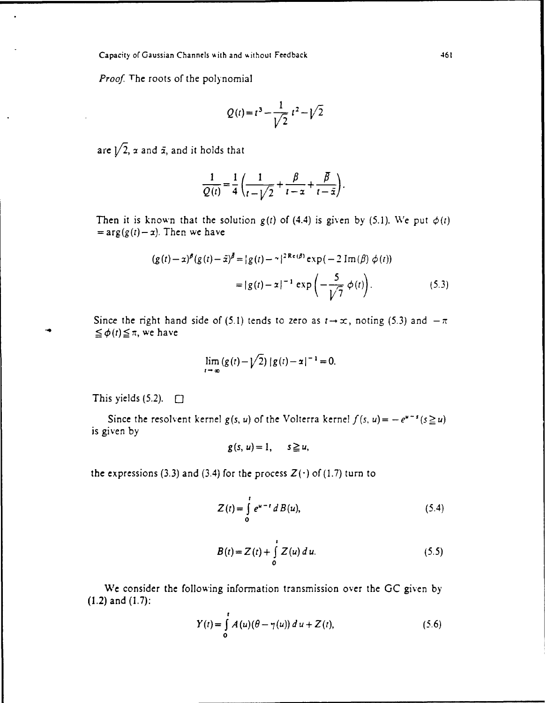Proof. The roots of the polynomial

$$
Q(t) = t^3 - \frac{1}{\sqrt{2}} t^2 - \sqrt{2}
$$

are  $\sqrt{2}$ ,  $\alpha$  and  $\bar{\alpha}$ , and it holds that

$$
\frac{1}{Q(t)} = \frac{1}{4} \left( \frac{1}{t - \sqrt{2}} + \frac{\beta}{t - \alpha} + \frac{\overline{\beta}}{t - \overline{\alpha}} \right).
$$

Then it is known that the solution  $g(t)$  of (4.4) is given by (5.1). We put  $\phi(t)$  $=arg(g(t)-x)$ . Then we have

$$
(g(t) - \alpha)^{\beta} (g(t) - \bar{x})^{\bar{\beta}} = |g(t) - \gamma|^{2 \text{Re}(\beta)} \exp(-2 \text{Im}(\beta) \phi(t))
$$
  
=  $|g(t) - \alpha|^{-1} \exp\left(-\frac{5}{\sqrt{7}} \phi(t)\right).$  (5.3)

Since the right hand side of (5.1) tends to zero as  $t \rightarrow \infty$ , noting (5.3) and  $-\pi$  $\leq \phi(t) \leq \pi$ , we have

$$
\lim_{t \to \infty} (g(t) - \sqrt{2}) |g(t) - \alpha|^{-1} = 0.
$$

This yields  $(5.2)$ .  $\Box$ 

Since the resolvent kernel *g(s, u)* of the Volterra kernel  $f(s, u) = -e^{u-s}(s \ge u)$ is given by

$$
g(s, u) = 1, \quad s \geq u,
$$

the expressions (3.3) and (3.4) for the process  $Z(\cdot)$  of (1.7) turn to

$$
Z(t) = \int_{0}^{t} e^{u-t} dB(u),
$$
 (5.4)

$$
B(t) = Z(t) + \int_{0}^{t} Z(u) du.
$$
 (5.5)

We consider the following information transmission over the GC given by (1.2) and (1.7):

$$
Y(t) = \int_{0}^{t} A(u)(\theta - \gamma(u)) du + Z(t),
$$
 (5.6)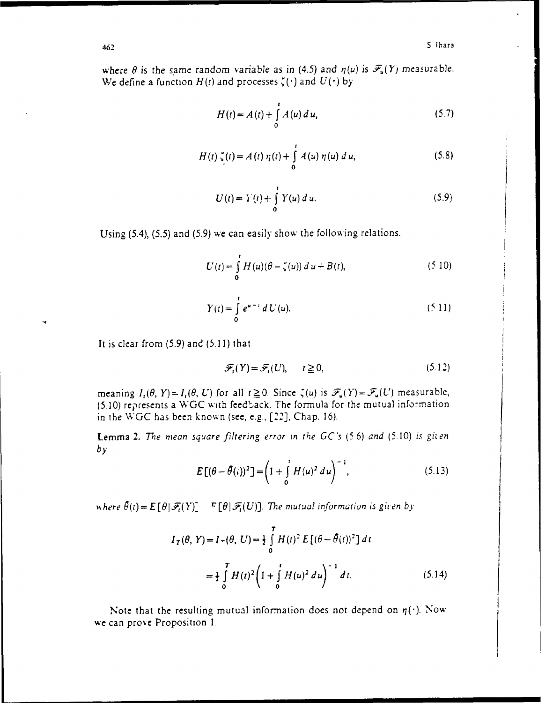where  $\theta$  is the same random variable as in (4.5) and  $\eta(u)$  is  $\mathcal{F}_u(Y)$  measurable. We define a function  $H(t)$  and processes  $\zeta(\cdot)$  and  $U(\cdot)$  by

$$
H(t) = A(t) + \int_{0}^{t} A(u) du,
$$
 (5.7)

$$
H(t) \zeta(t) = A(t) \eta(t) + \int_{0}^{t} A(u) \eta(u) du,
$$
 (5.8)

$$
U(t) = Y(t) + \int_{0}^{t} Y(u) du.
$$
 (5.9)

Using (5.4), (5.5) and (5.9) we can easily show the following relations.

$$
U(t) = \int_{0}^{t} H(u)(\theta - \zeta(u)) du + B(t),
$$
 (5.10)

$$
Y(t) = \int_{0}^{t} e^{u-t} dU(u).
$$
 (5.11)

It is clear from (5.9) and (5.11) that

$$
\mathcal{F}_t(Y) = \mathcal{F}_t(U), \qquad t \ge 0,
$$
\n(5.12)

meaning  $I_{\iota}(\theta, Y) = I_{\iota}(\theta, U)$  for all  $t \ge 0$ . Since  $\zeta(u)$  is  $\mathcal{F}_{\iota}(Y) = \mathcal{F}_{\iota}(U)$  measurable, **(5.10)** represents a **WGC with** feedback. The formula for the mutual information in the **WGC** has been known (see, e.g., **[22],** Chap. **16).**

**Lemma 2.** *The mean square filtering error in the GC's* **(5.6)** *and* **(5.10)** *is giten by*

$$
E[(\theta - \hat{\theta}(i))^2] = \left(1 + \int_{0}^{t} H(u)^2 du\right)^{-1},
$$
\n(5.13)

*vhere*  $\hat{\theta}(t) = E[\theta]\mathcal{F}_t(Y)$ <sup>-</sup>  $\mathbb{F}[\theta]\mathcal{F}_t(U)$ . The mutual information is given by

$$
I_T(\theta, Y) = I - (\theta, U) = \frac{1}{2} \int_0^T H(t)^2 E[(\theta - \hat{\theta}(t))^2] dt
$$
  
= 
$$
\frac{1}{2} \int_0^T H(t)^2 \left(1 + \int_0^t H(u)^2 du\right)^{-1} dt.
$$
 (5.14)

Note that the resulting mutual information does not depend on  $\eta(\cdot)$ . Now we can prove Proposition 1.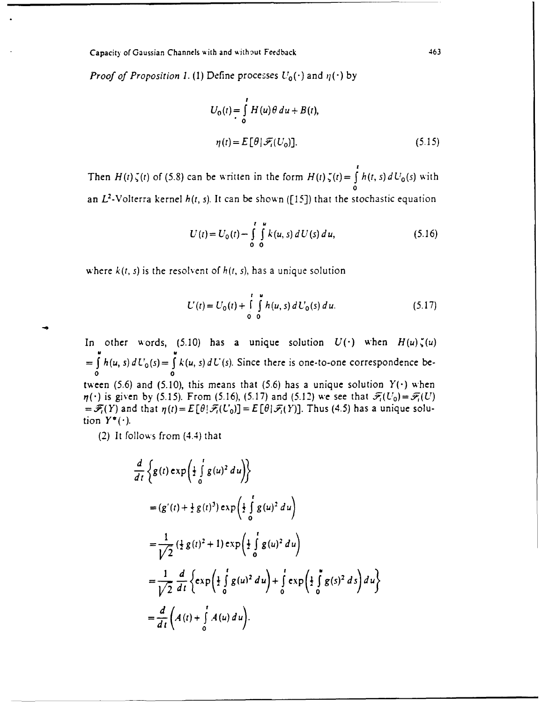*Proof of Proposition 1.* (1) Define processes  $U_0(\cdot)$  and  $\eta(\cdot)$  by

$$
U_0(t) = \int_0^t H(u)\theta \, du + B(t),
$$
  
\n
$$
\eta(t) = E[\theta] \mathcal{F}_t(U_0)].
$$
\n(5.15)

Then  $H(t)\zeta(t)$  of (5.8) can be written in the form  $H(t)\zeta(t)=\int h(t,s) dU_0(s)$  with **0** an L2-Volterra kernel *h(r, s).* It can be shown **([15])** that the stochastic equation

$$
U(t) = U_0(t) - \int_{0}^{t} \int_{0}^{u} k(u, s) dU(s) du,
$$
 (5.16)

where  $k(t, s)$  is the resolvent of  $h(t, s)$ , has a unique solution

$$
U(t) = U_0(t) + \int_{0}^{t} \int_{0}^{u} h(u, s) dU_0(s) du.
$$
 (5.17)

In other words, (5.10) has a unique solution  $U(\cdot)$  when  $H(u)\zeta(u)$  $= \int h(u, s) dU_0(s) = \int k(u, s) dU(s)$ . Since there is one-to-one correspondence be-**0 0** tween (5.6) and (5.10), this means that (5.6) has a unique solution  $Y(\cdot)$  when  $\eta(\cdot)$  is given by (5.15). From (5.16), (5.17) and (5.12) we see that  $\mathscr{F}_i(U_0) = \mathscr{F}_i(U)$  $=\mathscr{F}_t(Y)$  and that  $\eta(t)=E[\theta|\mathscr{F}_t(U_0)]=E[\theta|\mathscr{F}_t(Y)]$ . Thus (4.5) has a unique solution  $Y^*(\cdot)$ .

(2) It follows from (4.4) that

$$
\frac{d}{dt} \left\{ g(t) \exp\left(\frac{1}{2} \int_{0}^{t} g(u)^{2} du\right) \right\}
$$
\n
$$
= (g'(t) + \frac{1}{2} g(t)^{3}) \exp\left(\frac{1}{2} \int_{0}^{t} g(u)^{2} du\right)
$$
\n
$$
= \frac{1}{\sqrt{2}} (\frac{1}{2} g(t)^{2} + 1) \exp\left(\frac{1}{2} \int_{0}^{t} g(u)^{2} du\right)
$$
\n
$$
= \frac{1}{\sqrt{2}} \frac{d}{dt} \left\{ \exp\left(\frac{1}{2} \int_{0}^{t} g(u)^{2} du\right) + \int_{0}^{t} \exp\left(\frac{1}{2} \int_{0}^{u} g(s)^{2} ds\right) du\right\}
$$
\n
$$
= \frac{d}{dt} \left( A(t) + \int_{0}^{t} A(u) du\right).
$$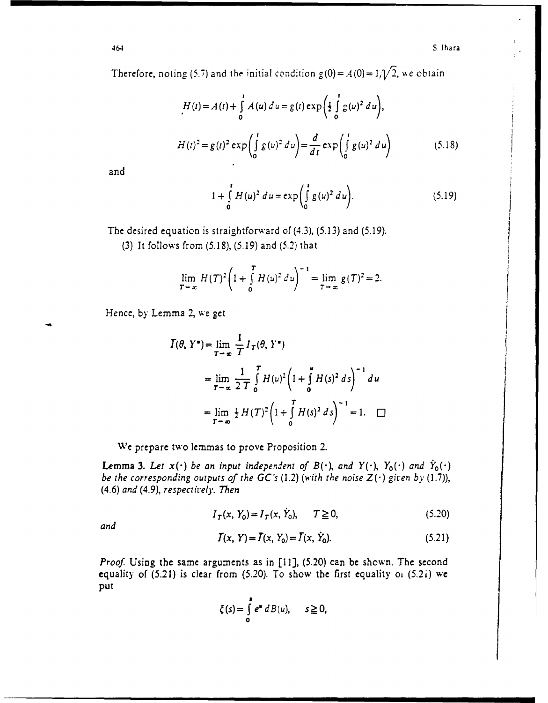Therefore, noting (5.7) and the initial condition  $g(0) = A(0) = 1/\sqrt{2}$ , we obtain

$$
H(t) = A(t) + \int_{0}^{t} A(u) du = g(t) \exp\left(\frac{1}{2} \int_{0}^{t} g(u)^{2} du\right),
$$
  

$$
H(t)^{2} = g(t)^{2} \exp\left(\int_{0}^{t} g(u)^{2} du\right) = \frac{d}{dt} \exp\left(\int_{0}^{t} g(u)^{2} du\right)
$$
(5.18)

and

$$
1 + \int_{0}^{t} H(u)^{2} du = \exp\left(\int_{0}^{t} g(u)^{2} du\right).
$$
 (5.19)

The desired equation is straightforward of (4.3), (5.13) and (5.19).

(3) It follows from (5.18), (5.19) and (5.2) that

$$
\lim_{T \to \infty} H(T)^{2} \left( 1 + \int_{0}^{T} H(u)^{2} du \right)^{-1} = \lim_{T \to \infty} g(T)^{2} = 2.
$$

Hence, by Lemma 2, we get

$$
\begin{aligned} \overline{I}(\theta, Y^*) &= \lim_{T \to \infty} \frac{1}{T} I_T(\theta, Y^*) \\ &= \lim_{T \to \infty} \frac{1}{2 \ T} \int_0^T H(u)^2 \left( 1 + \int_0^* H(s)^2 \, ds \right)^{-1} \, du \\ &= \lim_{T \to \infty} \frac{1}{2} H(T)^2 \left( 1 + \int_0^T H(s)^2 \, ds \right)^{-1} = 1. \quad \Box \end{aligned}
$$

We prepare two lemmas to prove Proposition 2.

**Lemma 3.** Let  $x(\cdot)$  be an input independent of  $B(\cdot)$ , and  $Y(\cdot)$ ,  $Y_0(\cdot)$  and  $\dot{Y}_0(\cdot)$ *be the corresponding outputs of the*  $GC$ *'s (1.2) (with the noise*  $Z(\cdot)$  *given by (1.7)), (4.6) and (4.9), respectively. Then*

$$
I_T(x, Y_0) = I_T(x, \dot{Y}_0), \qquad T \ge 0,
$$
\n(5.20)

*and*

$$
T(x, Y) = T(x, Y_0) = T(x, Y_0).
$$
 (5.21)

*Proof.* Using the same arguments as in [11], (5.20) can be shown. The second equality of  $(5.21)$  is clear from  $(5.20)$ . To show the first equality oi  $(5.2i)$  we put

$$
\xi(s) = \int\limits_0^s e^u \, dB(u), \qquad s \geq 0,
$$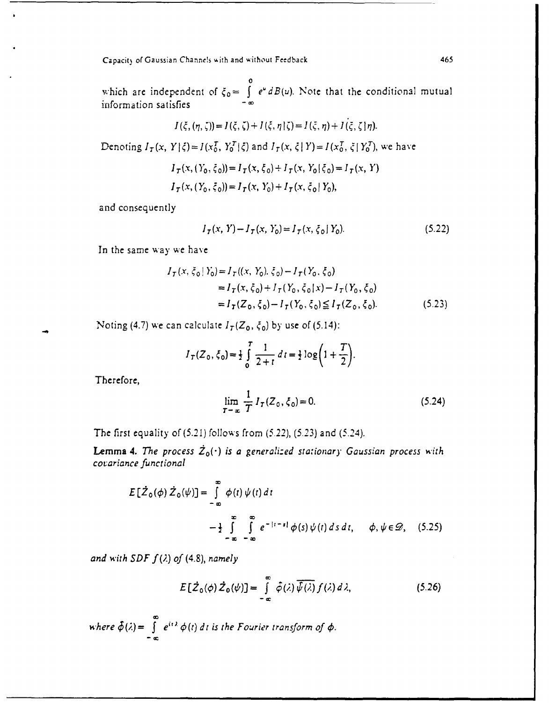which are independent of  $\xi_0 = \int e^u dB(u)$ . Note that the conditional mutual information satisfies **CO**<sup>-∞</sup>

$$
I(\xi, (\eta, \zeta)) = I(\xi, \zeta) + I(\xi, \eta | \zeta) = I(\xi, \eta) + I(\xi, \zeta | \eta).
$$

Denoting  $I_T(x, Y | \xi) = I(x_0^T, Y_0^T | \xi)$  and  $I_T(x, \xi | Y) = I(x_0^T, \xi | Y_0^T)$ , we have

$$
I_{\tau}(x, (Y_0, \xi_0)) = I_{\tau}(x, \xi_0) + I_{\tau}(x, Y_0 | \xi_0) = I_{\tau}(x, Y)
$$
  

$$
I_{\tau}(x, (Y_0, \xi_0)) = I_{\tau}(x, Y_0) + I_{\tau}(x, \xi_0 | Y_0),
$$

and consequently

$$
I_T(x, Y) - I_T(x, Y_0) = I_T(x, \xi_0 | Y_0).
$$
 (5.22)

In the same way we have

$$
I_T(x, \xi_0 | Y_0) = I_T((x, Y_0), \xi_0) - I_T(Y_0, \xi_0)
$$
  
=  $I_T(x, \xi_0) + I_T(Y_0, \xi_0 | x) - I_T(Y_0, \xi_0)$   
=  $I_T(Z_0, \xi_0) - I_T(Y_0, \xi_0) \le I_T(Z_0, \xi_0)$ . (5.23)

Noting (4.7) we can calculate  $I_T(Z_0, \xi_0)$  by use of (5.14):

$$
I_T(Z_0, \xi_0) = \frac{1}{2} \int_0^T \frac{1}{2+t} dt = \frac{1}{2} \log \left( 1 + \frac{T}{2} \right).
$$

Therefore,

$$
\lim_{T \to \infty} \frac{1}{T} I_T(Z_0, \xi_0) = 0.
$$
\n(5.24)

The first equality of (5.21) follows from **(5.221),** (5.23) and (5.24).

**Lemma 4.** The process  $\dot{Z}_0(\cdot)$  is a generalized stationary Gaussian process with *covariance functional*

$$
E[\dot{Z}_0(\phi) \dot{Z}_0(\psi)] = \int_{-\infty}^{\infty} \phi(t) \psi(t) dt
$$
  

$$
- \frac{1}{2} \int_{-\infty}^{\infty} \int_{-\infty}^{\infty} e^{-|t-s|} \phi(s) \psi(t) ds dt, \quad \phi, \psi \in \mathcal{D}, \quad (5.25)
$$

*and with SDF*  $f(\lambda)$  *of (4.8), namely* 

$$
E[\dot{Z}_0(\phi) \dot{Z}_0(\psi)] = \int_{-\infty}^{\infty} \hat{\phi}(\lambda) \overline{\hat{\psi}(\lambda)} f(\lambda) d\lambda, \qquad (5.26)
$$

where 
$$
\hat{\phi}(\lambda) = \int_{-\infty}^{\infty} e^{it\lambda} \phi(t) dt
$$
 is the Fourier transform of  $\phi$ .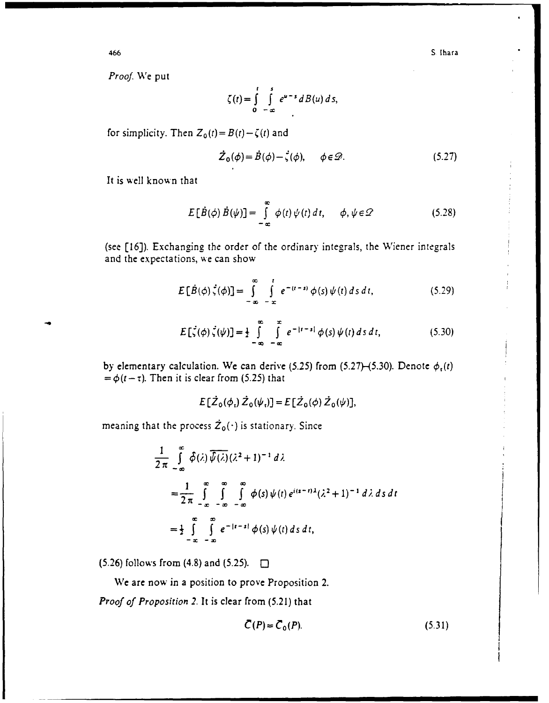*Proof.* We put

$$
\zeta(t) = \int\limits_0^t \int\limits_{-\infty}^s e^{u-s} dB(u) ds,
$$

for simplicity. Then  $Z_0(t) = B(t) - \zeta(t)$  and

$$
\dot{\mathcal{Z}}_0(\phi) = \dot{B}(\phi) - \dot{\zeta}(\phi), \qquad \phi \in \mathcal{D}.
$$
 (5.27)

It is well known that

$$
E[\dot{B}(\phi) \dot{B}(\psi)] = \int_{-\infty}^{\infty} \phi(t) \psi(t) dt, \quad \phi, \psi \in \mathcal{Q}
$$
 (5.28)

(see [16]). Exchanging the order of the ordinary integrals, the Wiener integrals and the expectations, **we** can show

$$
E[\dot{B}(\phi)\dot{\zeta}(\phi)] = \int_{-\infty}^{\infty} \int_{-\infty}^{t} e^{-(t-s)} \phi(s) \psi(t) ds dt,
$$
 (5.29)

$$
E\left[\zeta(\phi)\zeta(\psi)\right] = \frac{1}{2}\int_{-\infty}^{\infty}\int_{-\infty}^{\infty}e^{-|t-s|}\phi(s)\,\psi(t)\,ds\,dt,\tag{5.30}
$$

by elementary calculation. We can derive (5.25) from (5.27)–(5.30). Denote  $\phi_{\tau}(t)$  $=\phi(t-\tau)$ . Then it is clear from (5.25) that

$$
E[\dot{Z}_0(\phi_1)\dot{Z}_0(\psi_1)] = E[\dot{Z}_0(\phi)\dot{Z}_0(\psi)],
$$

meaning that the process  $\dot{Z}_0(\cdot)$  is stationary. Since

$$
\frac{1}{2\pi} \int_{-\infty}^{\infty} \hat{\phi}(\lambda) \overline{\hat{\psi}(\lambda)} (\lambda^2 + 1)^{-1} d\lambda
$$
  
=  $\frac{1}{2\pi} \int_{-\infty}^{\infty} \int_{-\infty}^{\infty} \int_{-\infty}^{\infty} \hat{\phi}(s) \psi(t) e^{i(s-t)\lambda} (\lambda^2 + 1)^{-1} d\lambda ds dt$   
=  $\frac{1}{2} \int_{-\infty}^{\infty} \int_{-\infty}^{\infty} e^{-|t-s|} \phi(s) \psi(t) ds dt$ ,

 $(5.26)$  follows from  $(4.8)$  and  $(5.25)$ .  $\Box$ 

We are now in a position to prove Proposition 2.

*Proof of Proposition 2.* It is clear from (5.21) that

$$
\bar{C}(P) = \bar{C}_0(P). \tag{5.31}
$$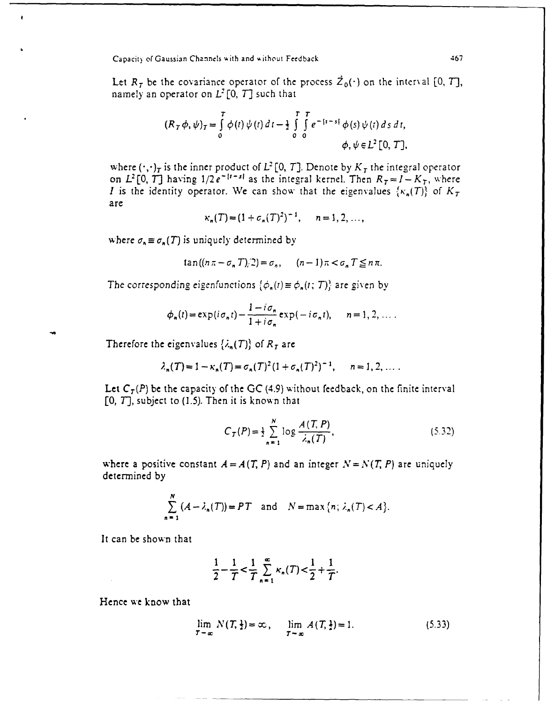Let  $R_T$  be the covariance operator of the process  $\dot{Z}_0(\cdot)$  on the interval [0, *T*], namely an operator on  $L^2[0, T]$  such that

$$
(R_T \phi, \psi)_T = \int_0^T \phi(t) \psi(t) dt - \frac{1}{2} \int_0^T \int_0^T e^{-\frac{t}{2}t - s} \phi(s) \psi(t) ds dt, \phi, \psi \in L^2[0, T],
$$

where  $(\cdot,\cdot)_T$  is the inner product of  $L^2[0,T]$ . Denote by  $K_T$  the integral operator on  $L^2[0, T]$  having  $1/2e^{-|t-s|}$  as the integral kernel. Then  $R_T = I - K_T$ , where *I* is the identity operator. We can show that the eigenvalues  $\{\kappa_n(T)\}\$  of  $K_T$ are

$$
\kappa_n(T) = (1 + \sigma_n(T)^2)^{-1}, \quad n = 1, 2, ...
$$

where  $\sigma_n \equiv \sigma_n(T)$  is uniquely determined by

$$
\tan((n\pi - \sigma_n T)/2) = \sigma_n, \quad (n-1)\pi < \sigma_n T \leq n\pi.
$$

The corresponding eigenfunctions  $\{\phi_n(t) \equiv \phi_n(t; T)\}$  are given by

$$
\phi_n(t) = \exp(i\sigma_n t) - \frac{1 - i\sigma_n}{1 + i\sigma_n} \exp(-i\sigma_n t), \qquad n = 1, 2, \dots.
$$

Therefore the eigenvalues  $\{\lambda_n(T)\}\$  of  $R_T$  are

$$
\lambda_n(T) = 1 - \kappa_n(T) = \sigma_n(T)^2 (1 + \sigma_n(T)^2)^{-1}, \quad n = 1, 2, ...
$$

Let  $C_T(P)$  be the capacity of the GC (4.9) without feedback, on the finite interval [0, T], subject to (1.5). Then it is known that

$$
C_T(P) = \frac{1}{2} \sum_{n=1}^{N} \log \frac{A(T, P)}{\lambda_n(T)},
$$
\n(5.32)

where a positive constant  $A = A(T, P)$  and an integer  $N = N(T, P)$  are uniquely determined **by**

$$
\sum_{n=1}^{N} (A - \lambda_n(T)) = PT \text{ and } N = \max\{n; \lambda_n(T) < A\}.
$$

It can be shown that

$$
\frac{1}{2} - \frac{1}{T} < \frac{1}{T} \sum_{n=1}^{\infty} \kappa_n(T) < \frac{1}{2} + \frac{1}{T}.
$$

Hence **w;e** know that

$$
\lim_{T \to \infty} N(T, \frac{1}{2}) = \infty, \quad \lim_{T \to \infty} A(T, \frac{1}{2}) = 1.
$$
 (5.33)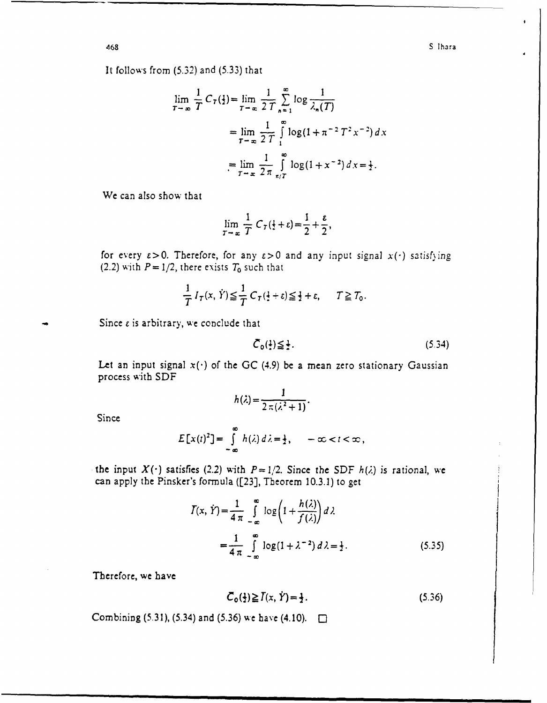It follows from (5.32) and (5.33) that

$$
\lim_{T \to \infty} \frac{1}{T} C_T(\frac{1}{2}) = \lim_{T \to \infty} \frac{1}{2T} \sum_{n=1}^{\infty} \log \frac{1}{\lambda_n(T)}
$$
  
= 
$$
\lim_{T \to \infty} \frac{1}{2T} \int_{1}^{\infty} \log(1 + \pi^{-2} T^2 x^{-2}) dx
$$
  
= 
$$
\lim_{T \to \infty} \frac{1}{2\pi} \int_{\pi/T}^{\infty} \log(1 + x^{-2}) dx = \frac{1}{2}.
$$

We can also show that

$$
\lim_{T \to \infty} \frac{1}{T} C_T(\frac{1}{2} + \varepsilon) = \frac{1}{2} + \frac{\varepsilon}{2},
$$

for every  $\epsilon > 0$ . Therefore, for any  $\epsilon > 0$  and any input signal  $x(\cdot)$  satisfying (2.2) with  $P = 1/2$ , there exists  $T_0$  such that

$$
\frac{1}{T}I_T(x, \dot{Y}) \leq \frac{1}{T}C_T(\frac{1}{2} + \varepsilon) \leq \frac{1}{2} + \varepsilon, \qquad T \geq T_0.
$$

Since **c** is arbitrary, **ve** conclude that

$$
\bar{C}_0(\frac{1}{2}) \leq \frac{1}{2}.
$$
 (5.34)

Let an input signal  $x(\cdot)$  of the GC (4.9) be a mean zero stationary Gaussian process with SDF

$$
h(\lambda)=\frac{1}{2\,\pi\,(\lambda^2+1)}.
$$

Since

$$
E[x(t)^{2}] = \int_{-\infty}^{\infty} h(\lambda) d\lambda = \frac{1}{2}, \quad -\infty < t < \infty,
$$

the input  $X(\cdot)$  satisfies (2.2) with  $P=1/2$ . Since the SDF  $h(\lambda)$  is rational, we can apply the Pinsker's formula ([23], Theorem 10.3.1) to get

$$
I(x, \dot{Y}) = \frac{1}{4 \pi} \int_{-\infty}^{\infty} \log \left( 1 + \frac{h(\lambda)}{f(\lambda)} \right) d\lambda
$$
  
= 
$$
\frac{1}{4 \pi} \int_{-\infty}^{\infty} \log (1 + \lambda^{-2}) d\lambda = \frac{1}{2}.
$$
 (5.35)

Therefore, we have

$$
\bar{C}_0(\frac{1}{2}) \ge \bar{I}(x, \dot{Y}) = \frac{1}{2}.
$$
 (5.36)

Combining **(5.31), (5.34)** and **(5.36)** we have (4.10). M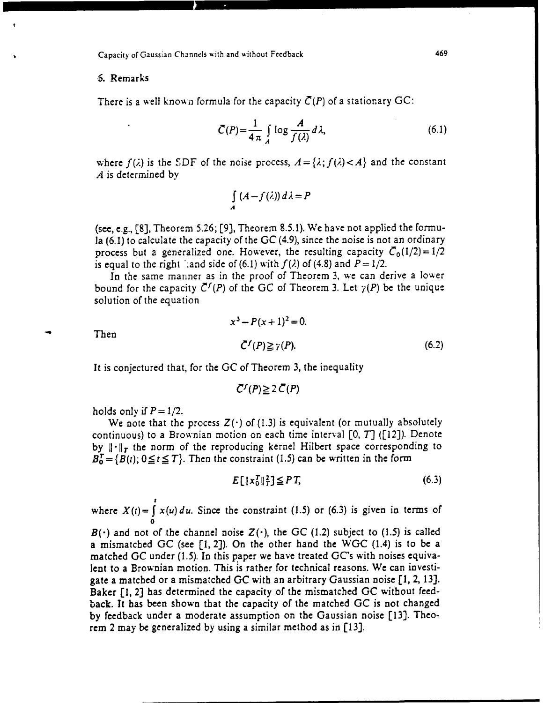# **S.** Remarks

There is a well known formula for the capacity  $\overline{C}(P)$  of a stationary GC:

$$
\bar{C}(P) = \frac{1}{4 \pi} \int_{A} \log \frac{A}{f(\lambda)} d\lambda,
$$
 (6.1)

where  $f(\lambda)$  is the SDF of the noise process,  $A = \{\lambda; f(\lambda) < A\}$  and the constant *A* is determined by

$$
\int_{A} (A - f(\lambda)) d\lambda = P
$$

(see, e.g., **[8],** Theorem 5.26; [9], Theorem 8.5.1). We have not applied the formula (6.1) to calculate the capacity of the **GC** (4.9), since the noise is not an ordinary process but a generalized one. However, the resulting capacity  $\bar{C}_0(1/2)=1/2$ is equal to the right ';and side of (6.1) with  $f(\lambda)$  of (4.8) and  $P = 1/2$ .

In the same manner as in the proof of Theorem 3, we can derive a lower bound for the capacity  $\bar{C}^f(P)$  of the GC of Theorem 3. Let  $\gamma(P)$  be the unique solution of the equation

**Then** 

 $x^3 - P(x+1)^2 = 0.$  $\bar{C}^{f}(P) \ge \bar{r}(P).$  (6.2)

It is conjectured that, for the **GC** of Theorem 3, the inequality

$$
\bar{C}^f(P) \geq 2 \bar{C}(P)
$$

holds only if  $P = 1/2$ .

We note that the process  $Z(\cdot)$  of (1.3) is equivalent (or mutually absolutely continuous) to a Brownian motion on each time interval [0, *7]* ([12]). Denote by  $\|\cdot\|_r$  the norm of the reproducing kernel Hilbert space corresponding to  $B_0^T = {B(t), 0 \le t \le T}.$  Then the constraint (1.5) can be written in the form

 $E[\|x_0^T\|_T^2] \leq PT$ , (6.3)

where  $X(t) = \int x(u) du$ . Since the constraint (1.5) or (6.3) is given in terms of

 $B(\cdot)$  and not of the channel noise  $Z(\cdot)$ , the GC (1.2) subject to (1.5) is called a mismatched **GC** (see [1, 2]). On the other hand the WGC (1.4) is to be a matched **GC** under (1.5). In this paper we have treated GC's with noises equivalent to a Brownian motion. This is rather for technical reasons. We can investigate a matched or a mismatched **GC** with an arbitrary Gaussian noise **[1,** 2, 13]. Baker [1, 2] has determined the capacity of the mismatched **GC** without feedback. It has been shown that the capacity of the matched **GC** is not changed by feedback under a moderate assumption on the Gaussian noise [13]. Theorem 2 may be generalized by using a similar method as in [13].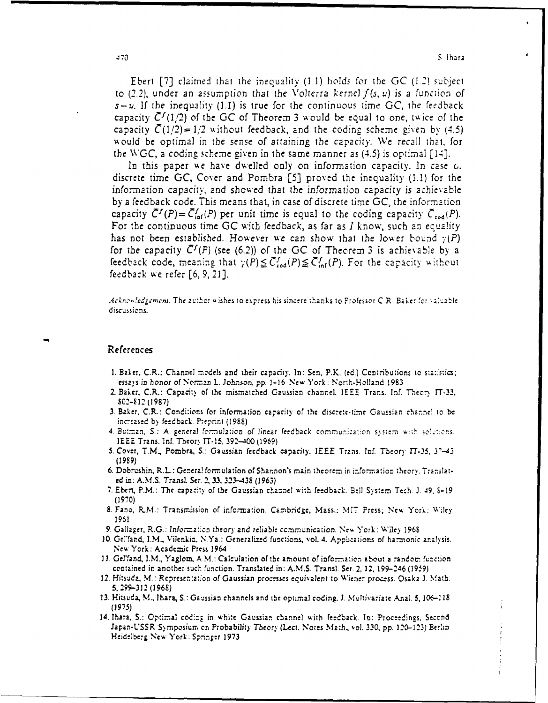Ebert **[7]** claimed that the inequality **(1.1)** *holds* for **the** *GC (I* **\_')** subject to **(2.2),** under an assumption that the *V'olterra* kernel *f (s, U) is a funciion of*  $s-u$ . If the inequality (1.1) is true for the continuous time GC, the feedback capacity  $\bar{C}^f(1/2)$  of the GC of Theorem 3 would be equal to one, *twice* of the capacity  $\overline{C}(1/2)=1/2$  without feedback, and the coding scheme given by (4.5) 'Aould **be** optimal in the sense of attaining **the** capacity. We **recall** that, for *the WGC,* a coding scheme eiven in the same manner as (4.5) is opuimal **[1i1].**

In this paper we have dwelled only on information capacity. In case  $c$ , discrete time **GC,** Cover and Pombra *[5]* proved the inequality **(1.1)** for the information capacity, and showed that the information capacity is achievable by a feedback code. This means that, in case of discrete time GC, the information capacity  $\bar{C}^{f}(P) = \bar{C}_{\text{inf}}^{f}(P)$  per unit time is equal to the coding capacity  $\bar{C}_{\text{red}}(P)$ . For the continuous time **GC** with feedback, as far as *I* know, such an equality has not been established. However we can show that the lower bound  $\gamma(P)$ for the capacity  $\overline{C}^f(P)$  (see (6.2)) of the GC of Theorem 3 is achievable by a feedback code, meaning that  $\gamma(P) \leq \tilde{C}_{\text{cod}}^f(P) \leq \tilde{C}_{\text{inf}}^f(P)$ . For the capacity without feedback w **e** refer **[6, 9, 2]].**

.Acknowledgement. The author wishes to express his sincere thanks to Professor C.R. Baker for valuable discussions.

#### **References**

- **1.** Baker, C.R.: Channel rnc'dels and their capacity. In: Sen, FIX. **(ed.)** Cowi-ibu tions to s-'a::stics; *essays in honor ofNor.-zn* L. *)chnson,* pp. **1-16** New York: North-.Holland **1983**
- 2. Baker, C.R.: Capacity of the mismatched Gaussian channel. IEEE Trans. Inf. Theory IT-33, 802-412 **(1987)**
- **3.** Baker, C.R.: Condi:iors (or information capacity- of the discrete-time Gaussia2n cha.-,ne! to **be** inc-ca-sed **by** feedback. Pmerprint **(1988)**
- 4. Butman, S.: A general formulation of linear feedback communication system with solutions. **IEEE Trans. Inf. Theory IT-15, 392-400 (1969)**
- **5.** Cover, T.M., Pornbra, **S.:** Gaussian feedback capacity. **IEEE** Trans. In. Theory **IT-35, 37-43 (1989)**
- **6.** Dobrushin, R.L.: Genera! fo-nnulation of Shannon's rnain theorem in information theory. Translat**ed** in: **A.M.S.** Trans). Ser. *2, 33, 323-438* **(1963)**
- **'7.** Ebert, P.M.: The capacity or the Gaussian chaz-nel with feedback. Bell SytmTech. **J. 419, E-19** *(1970o)*
- **8.** Fano, **RMI.:** Trarsnsion of infor-ation. Cambridge, Mass.: **MIT** Press-, **Ne%** York: **Wiley 1961**
- 9. Gallager, R.G.: Information theory and reliable communication. New York: Wiley 1968.
- 10. Gelfand, I.M., Vilenkin, N.Ya.: Generalized functions, vol. 4. Applications of harmonic analysis. **New York: Academic Press 1964**
- 11. Gel'fand, I.M., Yaglom, A.M.: Calculation of the amount of information about a random function contained ir anothe; siuch 'unction. Translated in: **A.M.S.** Trans]. **Set.** 2, 12, 199-246 **(1959)**
- 12. Hisuda, **M.:** Representation of *Gaussian* procrsses equihalent to Wiener process. Osaka *J.* Math. **5, 299-312 (1968)**
- **13.** Hitsuda, **M.,** Mhara, **S.:** Ga,\_tssian channels and **the** optimal coding. **J.** Miultivarivte Anal. **S,** *106-1 18 (29-j5)*
- 14. Iharz, **S.:** Optimal cod:z in white Gaussian cbannel with fe.-dback. **In:** Proceteings, Sezcnd **Japan-USSR** Symnposiurn c-n Probability Theory *(Lec.* Notes **Ma1:11., VOL** *330, pp.* ]1123) Berlin **Heidelberg New York. Spninger 1973**